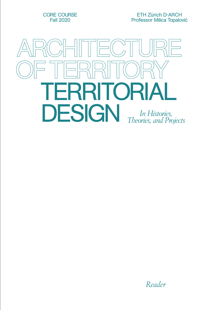CORE COURSE Fall 2020

ETH Zürich D-ARCH Professor Milica Topalović



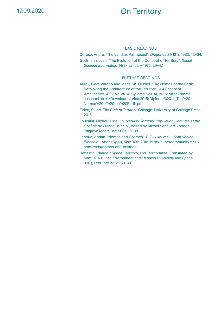# On Territory

#### BASIC READINGS

Corboz, André. "The Land as Palimpsest". *Diogenes* 31(121), 1983: 12–34.

Gottmann, Jean. "The Evolution of the Concept of Territory". *Social Science Information* 14(3), January 1975: 29–47.

#### FURTHER READINGS

Aureli, Piere Vittorio and Maria Sh. Giudici. "The Nomos of the Earth: Rethinking the Architecture of the Territory", *AA School of Architecture, AY 2015-2014, Diploma Unit 14*, 2015: https://home. aaschool.ac.uk/Downloads/briefs2015/Diploma%2014\_The%20 Nomos%20of%20the%20Earth.pdf

Elden, Stuart. *The Birth of Territory*. Chicago: University of Chicago Press, 2013.

Foucault, Michel. "One". In: *Security, Territory, Population: Lectures at the Collège de France, 1977-78*, edited by Michel Senellart. London: Palgrave Macmillan, 2007, 16–38.

Lahoud, Adrian. "Nomos and Cosmos". *E-Flux Journal – 56th Venice Biennale –Apocalypsis*, May 30th 2015: http://supercommunity.e-flux. com/texts/nomos-and-cosmos/

Raffestin, Claude. "Space, Territory, and Territoriality". Translated by Samuel A Butler. *Environment and Planning D: Society and Space,* 30(1), February 2012: 121–41.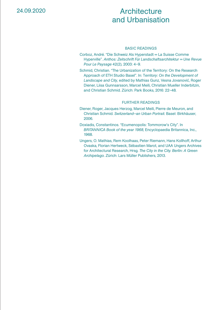# **Architecture** and Urbanisation

#### BASIC READINGS

- Corboz, André. "Die Schweiz Als Hyperstadt = La Suisse Comme Hyperville". *Anthos: Zeitschrift Für Landschaftsarchitektur = Une Revue Pour Le Paysage* 42(2)*,* 2003: 4–9.
- Schmid, Christian. "The Urbanization of the Territory: On the Research Approach of ETH Studio Basel". In: T*erritory: On the Development of Landscape and City*, edited by Mathias Gunz, Vesna Jovanović, Roger Diener, Liisa Gunnsarsson, Marcel Meili, Christian Mueller Inderbitzin, and Christian Schmid. Zürich: Park Books, 2016: 22–48.

- Diener, Roger, Jacques Herzog, Marcel Meili, Pierre de Meuron, and Christian Schmid. *Switzerland—an Urban Portrait*. Basel: Birkhäuser, 2006.
- Doxiadis, Constantinos. "Ecumenopolis: Tommorow's City". In *BRITANNICA Book of the year 1968*, Encyclopaedia Britannica, Inc., 1968.
- Ungers, O. Mathias, Rem Koolhaas, Peter Riemann, Hans Kollhoff, Arthur Ovaska, Florian Hertweck, Sébastien Marot, and UAA Ungers Archives for Architectural Research, Hrsg. *The City in the City. Berlin: A Green Archipelago*. Zürich: Lars Müller Publishers, 2013.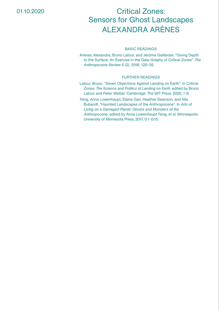### 01.10.2020

# Critical Zones: Sensors for Ghost Landscapes ALEXANDRA ARÈNES

#### BASIC READINGS

Arènes, Alexandra, Bruno Latour, and Jérôme Gaillardet. "Giving Depth to the Surface: An Exercise in the Gaia-Graphy of Critical Zones". *The Anthropocene Review* 5 (2), 2018: 120–35.

- Latour, Bruno. "Seven Objections Against Landing on Earth". In *Critical Zones: The Science and Politics of Landing on Earth*, edited by Bruno Latour and Peter Weibel. Cambridge: The MIT Press, 2020, 1-8.
- Tsing, Anna Lowenhaupt, Elaine Gan, Heather Swanson, and Nils Bubandt. "Haunted Landscapes of the Anthropocene". In *Arts of Living on a Damaged Planet: Ghosts and Monsters of the Anthropocene*, edited by Anna Lowenhaupt Tsing, et al. Minneapolis: University of Minnesota Press, 2017, G1-G15.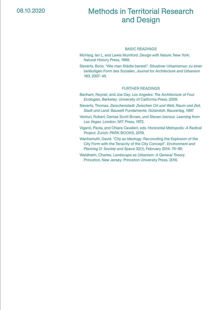## Methods in Territorial Research and Design

#### BASIC READINGS

- McHarg, Ian L, and Lewis Mumford. *Design with Nature*. New York: Natural History Press, 1969.
- Sieverts, Boris. "Wie man Städte bereist". Situativer Urbanismus: zu einer beiläufigen Form des Sozialen, *Journal for Architecture and Urbanism* 183, 2007: 45.

- Banham, Reyner, and Joe Day. *Los Angeles: The Architecture of Four Ecologies*. Berkeley: University of California Press, 2009.
- Sieverts, Thomas. *Zwischenstadt: Zwischen Ort und Welt, Raum und Zeit, Stadt und Land*. Bauwelt Fundamente. Gütersloh: Bauverlag, 1997.
- Venturi, Robert, Denise Scott Brown, und Steven Izenour. *Learning from Las Vegas*. London: MIT Press, 1972.
- Viganò, Paola, and Chiara Cavalieri, eds. *Horizontal Metropolis: A Radical Project*. Zurich: PARK BOOKS, 2019.
- Wachsmuth, David. "City as Ideology: Reconciling the Explosion of the City Form with the Tenacity of the City Concept". *Environment and Planning D: Society and Space* 32(1), February 2014: 75–90.
- Waldheim, Charles. *Landscape as Urbanism: A General Theory*. Princeton, New Jersey: Princeton University Press, 2016.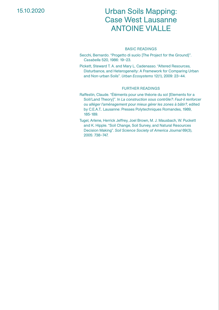### 15.10.2020

## Urban Soils Mapping: Case West Lausanne ANTOINE VIALLE

#### BASIC READINGS

Secchi, Bernardo. "Progetto di suolo IThe Project for the Ground]". *Casabella* 520, 1986: 19–23.

Pickett, Steward T. A. and Mary L. Cadenasso. "Altered Resources, Disturbance, and Heterogeneity: A Framework for Comparing Urban and Non-urban Soils". *Urban Ecosystems* 12(1), 2009: 23–44.

- Raffestin, Claude. "Éléments pour une théorie du sol [Elements for a Soil/Land Theory]". In *La construction sous contrôle?: Faut-il renforcer ou alléger l'aménagement pour mieux gérer les zones à bâtir?*, edited by C.E.A.T.. Lausanne: Presses Polytechniques Romandes, 1989, 185-189.
- Tugel, Arlene, Herrick Jeffrey, Joel Brown, M. J. Mausbach, W. Puckett and K. Hipple. "Soil Change, Soil Survey, and Natural Resources Decision Making". *Soil Science Society of America Journal* 69(3), 2005: 738–747.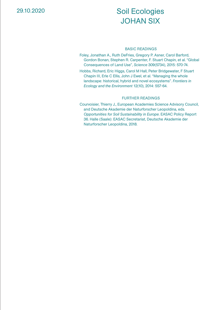# Soil Ecologies JOHAN SIX

#### BASIC READINGS

Foley, Jonathan A., Ruth DeFries, Gregory P. Asner, Carol Barford, Gordon Bonan, Stephen R. Carpenter, F. Stuart Chapin, et al. "Global Consequences of Land Use", *Science* 309(5734), 2015: 570-74.

Hobbs, Richard, Eric Higgs, Carol M Hall, Peter Bridgewater, F Stuart Chapin III, Erle C Ellis, John J Ewel, et al. "Managing the whole landscape: historical, hybrid and novel ecosystems". *Frontiers in Ecology and the Environment* 12(10), 2014: 557-64.

#### FURTHER READINGS

Courvoisier, Thierry J., European Academies Science Advisory Council, and Deutsche Akademie der Naturforscher Leopoldina, eds. *Opportunities for Soil Sustainability in Europe*. EASAC Policy Report 36. Halle (Saale): EASAC Secretariat, Deutsche Akademie der Naturforscher Leopoldina, 2018.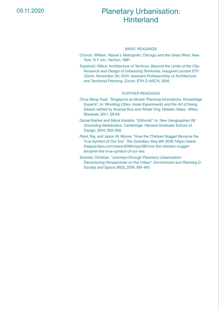# Planetary Urbanisation: **Hinterland**

#### BASIC READINGS

Cronon, William. *Nature's Metropolis: Chicago and the Great West*. New York, N.Y. etc.: Norton, 1991.

Topalović, Milica. Architecture of Territory: *Beyond the Limits of the City: Research and Design of Urbanising Territories: Inaugural Lecture ETH Zürich, November 30, 2015*. Assistant Professorship of Architecture and Territorial Planning. Zürich: ETH D-ARCH, 2016.

- Chua Beng Huat. "Singapore as Model: Planning Innovations, Knowledge Experts". In: *Worlding Cities: Asian Experiments and the Art of being Global*, edited by Ananya Roy and Aihwa Ong. Malden, Mass.: Wiley-Blackwel, 2011, 29-54.
- Daniel Ibañez and Nikos Katsikis. "Editorial". In: *New Geographies 06 Grounding Metabolism*. Cambridge: Harvard Graduate School of Design, 2014, 002-009.
- Patel, Raj, and Jason W. Moore. "How the Chicken Nugget Became the True Symbol of Our Era". *The Guardian*, May 8th 2018: https://www. theguardian.com/news/2018/may/08/how-the-chicken-nuggetbecame-the-true-symbol-of-our-era
- Schmid, Christian. "Journeys through Planetary Urbanization: Decentering Perspectives on the Urban". *Environment and Planning D: Society and Space* 36(3), 2018: 591-610.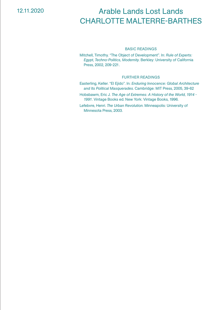### 12.11.2020

# Arable Lands Lost Lands CHARLOTTE MALTERRE-BARTHES

#### BASIC READINGS

Mitchell, Timothy. "The Object of Development". In: *Rule of Experts: Egypt, Techno-Politics, Modernity*. Berkley: University of California Press, 2002, 209-221.

#### FURTHER READINGS

- Easterling, Keller. "El Ejido". In: *Enduring Innocence: Global Architecture and Its Political Masquerades*. Cambridge: MIT Press, 2005, 39-62
- Hobsbawm, Eric J. *The Age of Extremes: A History of the World, 1914 1991*. Vintage Books ed. New York: Vintage Books, 1996.

Lefebvre, Henri. *The Urban Revolution*. Minneapolis: University of Minnesota Press, 2003.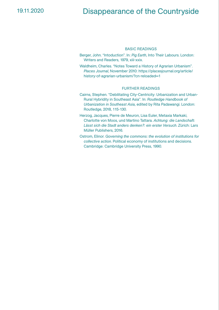## 19.11.2020 Disappearance of the Countryside

#### BASIC READINGS

- Berger, John. "Intoduction". In: *Pig Earth*, Into Their Labours. London: Writers and Readers, 1979, xiii-xxix.
- Waldheim, Charles. "Notes Toward a History of Agrarian Urbanism". *Places Journal*, November 2010: https://placesjournal.org/article/ history-of-agrarian-urbanism/?cn-reloaded=1

- Cairns, Stephen. "Debilitating City-Centricity: Urbanization and Urban-Rural Hybridity in Southeast Asia". In: *Routledge Handbook of Urbanization in Southeast Asia,* edited by Rita Padawangi. London: Routledge, 2018, 115-130.
- Herzog, Jacques, Pierre de Meuron, Lisa Euler, Metaxia Markaki, Charlotte von Moos, und Martino Tattara. *Achtung: die Landschaft: Lässt sich die Stadt anders denken?: ein erster Versuch*. Zürich: Lars Müller Publishers, 2016.
- Ostrom, Elinor. *Governing the commons: the evolution of institutions for collective action*. Political economy of institutions and decisions. Cambridge: Cambridge University Press, 1990.